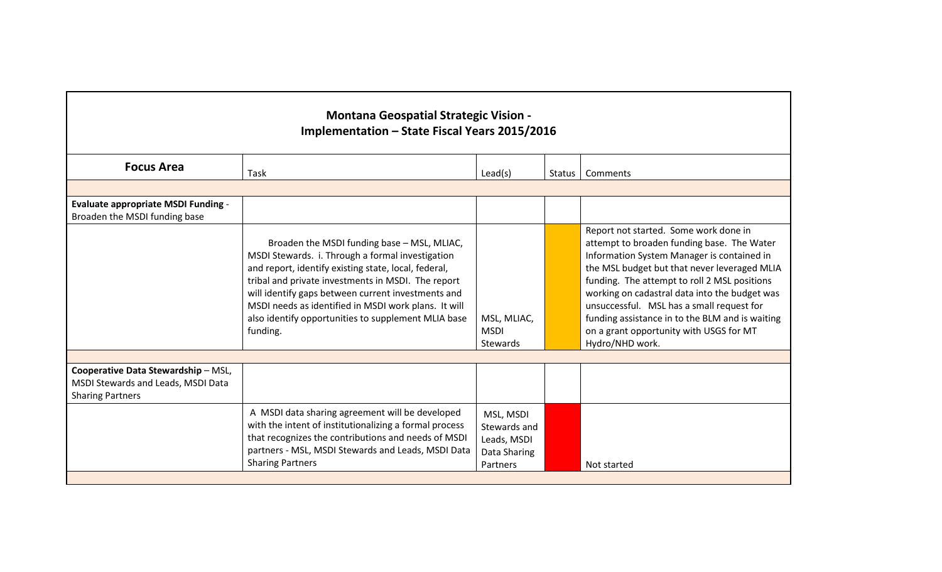| <b>Montana Geospatial Strategic Vision -</b><br>Implementation - State Fiscal Years 2015/2016        |                                                                                                                                                                                                                                                                                                                                                                                                |                                                                      |        |                                                                                                                                                                                                                                                                                                                                                                                                                                                  |  |
|------------------------------------------------------------------------------------------------------|------------------------------------------------------------------------------------------------------------------------------------------------------------------------------------------------------------------------------------------------------------------------------------------------------------------------------------------------------------------------------------------------|----------------------------------------------------------------------|--------|--------------------------------------------------------------------------------------------------------------------------------------------------------------------------------------------------------------------------------------------------------------------------------------------------------------------------------------------------------------------------------------------------------------------------------------------------|--|
| <b>Focus Area</b>                                                                                    | Task                                                                                                                                                                                                                                                                                                                                                                                           | Lead(s)                                                              | Status | Comments                                                                                                                                                                                                                                                                                                                                                                                                                                         |  |
|                                                                                                      |                                                                                                                                                                                                                                                                                                                                                                                                |                                                                      |        |                                                                                                                                                                                                                                                                                                                                                                                                                                                  |  |
| <b>Evaluate appropriate MSDI Funding -</b><br>Broaden the MSDI funding base                          |                                                                                                                                                                                                                                                                                                                                                                                                |                                                                      |        |                                                                                                                                                                                                                                                                                                                                                                                                                                                  |  |
|                                                                                                      | Broaden the MSDI funding base - MSL, MLIAC,<br>MSDI Stewards. i. Through a formal investigation<br>and report, identify existing state, local, federal,<br>tribal and private investments in MSDI. The report<br>will identify gaps between current investments and<br>MSDI needs as identified in MSDI work plans. It will<br>also identify opportunities to supplement MLIA base<br>funding. | MSL, MLIAC,<br><b>MSDI</b><br>Stewards                               |        | Report not started. Some work done in<br>attempt to broaden funding base. The Water<br>Information System Manager is contained in<br>the MSL budget but that never leveraged MLIA<br>funding. The attempt to roll 2 MSL positions<br>working on cadastral data into the budget was<br>unsuccessful. MSL has a small request for<br>funding assistance in to the BLM and is waiting<br>on a grant opportunity with USGS for MT<br>Hydro/NHD work. |  |
|                                                                                                      |                                                                                                                                                                                                                                                                                                                                                                                                |                                                                      |        |                                                                                                                                                                                                                                                                                                                                                                                                                                                  |  |
| Cooperative Data Stewardship - MSL,<br>MSDI Stewards and Leads, MSDI Data<br><b>Sharing Partners</b> |                                                                                                                                                                                                                                                                                                                                                                                                |                                                                      |        |                                                                                                                                                                                                                                                                                                                                                                                                                                                  |  |
|                                                                                                      | A MSDI data sharing agreement will be developed<br>with the intent of institutionalizing a formal process<br>that recognizes the contributions and needs of MSDI<br>partners - MSL, MSDI Stewards and Leads, MSDI Data<br><b>Sharing Partners</b>                                                                                                                                              | MSL, MSDI<br>Stewards and<br>Leads, MSDI<br>Data Sharing<br>Partners |        | Not started                                                                                                                                                                                                                                                                                                                                                                                                                                      |  |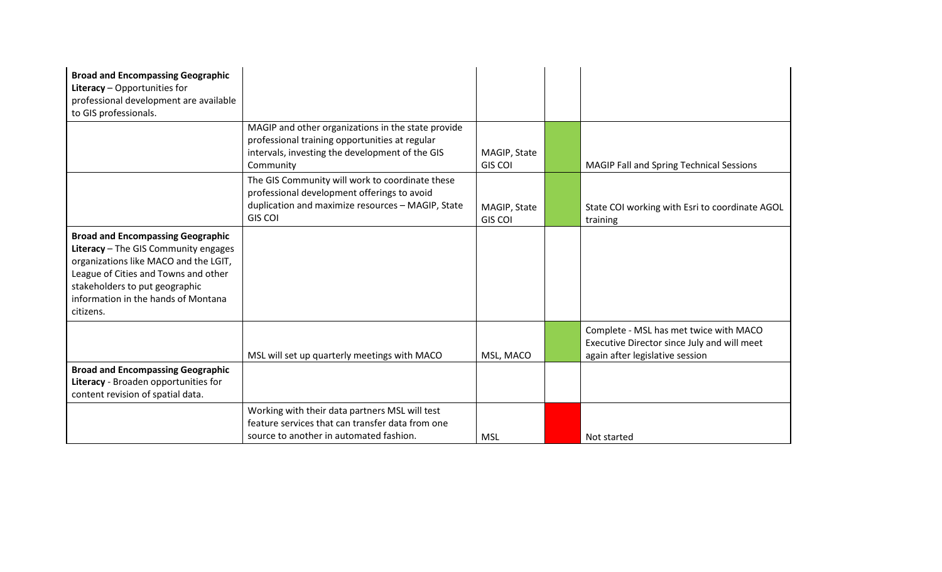| <b>Broad and Encompassing Geographic</b><br>Literacy - Opportunities for<br>professional development are available                                                                                                                                      |                                                                                                                                                                       |                                |                                                                                                                          |
|---------------------------------------------------------------------------------------------------------------------------------------------------------------------------------------------------------------------------------------------------------|-----------------------------------------------------------------------------------------------------------------------------------------------------------------------|--------------------------------|--------------------------------------------------------------------------------------------------------------------------|
| to GIS professionals.                                                                                                                                                                                                                                   |                                                                                                                                                                       |                                |                                                                                                                          |
|                                                                                                                                                                                                                                                         | MAGIP and other organizations in the state provide<br>professional training opportunities at regular<br>intervals, investing the development of the GIS<br>Community  | MAGIP, State<br><b>GIS COI</b> | MAGIP Fall and Spring Technical Sessions                                                                                 |
|                                                                                                                                                                                                                                                         | The GIS Community will work to coordinate these<br>professional development offerings to avoid<br>duplication and maximize resources - MAGIP, State<br><b>GIS COI</b> | MAGIP, State<br><b>GIS COI</b> | State COI working with Esri to coordinate AGOL<br>training                                                               |
| <b>Broad and Encompassing Geographic</b><br>Literacy - The GIS Community engages<br>organizations like MACO and the LGIT,<br>League of Cities and Towns and other<br>stakeholders to put geographic<br>information in the hands of Montana<br>citizens. |                                                                                                                                                                       |                                |                                                                                                                          |
|                                                                                                                                                                                                                                                         | MSL will set up quarterly meetings with MACO                                                                                                                          | MSL, MACO                      | Complete - MSL has met twice with MACO<br>Executive Director since July and will meet<br>again after legislative session |
| <b>Broad and Encompassing Geographic</b><br>Literacy - Broaden opportunities for<br>content revision of spatial data.                                                                                                                                   |                                                                                                                                                                       |                                |                                                                                                                          |
|                                                                                                                                                                                                                                                         | Working with their data partners MSL will test<br>feature services that can transfer data from one                                                                    |                                |                                                                                                                          |
|                                                                                                                                                                                                                                                         | source to another in automated fashion.                                                                                                                               | <b>MSL</b>                     | Not started                                                                                                              |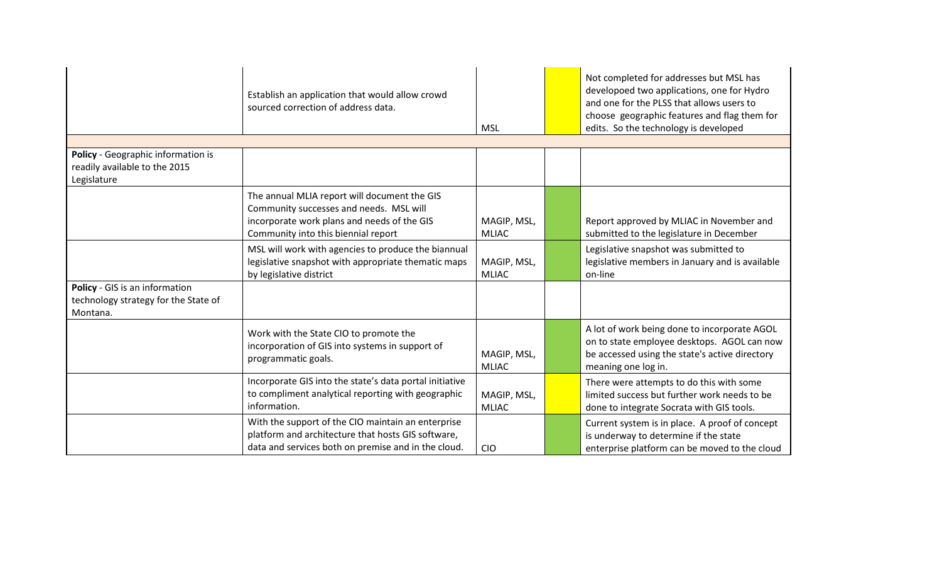|                                                                                    | Establish an application that would allow crowd<br>sourced correction of address data.                                                                                        | <b>MSL</b>                  | Not completed for addresses but MSL has<br>developoed two applications, one for Hydro<br>and one for the PLSS that allows users to<br>choose geographic features and flag them for<br>edits. So the technology is developed |
|------------------------------------------------------------------------------------|-------------------------------------------------------------------------------------------------------------------------------------------------------------------------------|-----------------------------|-----------------------------------------------------------------------------------------------------------------------------------------------------------------------------------------------------------------------------|
|                                                                                    |                                                                                                                                                                               |                             |                                                                                                                                                                                                                             |
| Policy - Geographic information is<br>readily available to the 2015<br>Legislature |                                                                                                                                                                               |                             |                                                                                                                                                                                                                             |
|                                                                                    | The annual MLIA report will document the GIS<br>Community successes and needs. MSL will<br>incorporate work plans and needs of the GIS<br>Community into this biennial report | MAGIP, MSL,<br><b>MLIAC</b> | Report approved by MLIAC in November and<br>submitted to the legislature in December                                                                                                                                        |
|                                                                                    | MSL will work with agencies to produce the biannual<br>legislative snapshot with appropriate thematic maps<br>by legislative district                                         | MAGIP, MSL,<br><b>MLIAC</b> | Legislative snapshot was submitted to<br>legislative members in January and is available<br>on-line                                                                                                                         |
| Policy - GIS is an information<br>technology strategy for the State of<br>Montana. |                                                                                                                                                                               |                             |                                                                                                                                                                                                                             |
|                                                                                    | Work with the State CIO to promote the<br>incorporation of GIS into systems in support of<br>programmatic goals.                                                              | MAGIP, MSL,<br><b>MLIAC</b> | A lot of work being done to incorporate AGOL<br>on to state employee desktops. AGOL can now<br>be accessed using the state's active directory<br>meaning one log in.                                                        |
|                                                                                    | Incorporate GIS into the state's data portal initiative<br>to compliment analytical reporting with geographic<br>information.                                                 | MAGIP, MSL,<br><b>MLIAC</b> | There were attempts to do this with some<br>limited success but further work needs to be<br>done to integrate Socrata with GIS tools.                                                                                       |
|                                                                                    | With the support of the CIO maintain an enterprise<br>platform and architecture that hosts GIS software,<br>data and services both on premise and in the cloud.               | <b>CIO</b>                  | Current system is in place. A proof of concept<br>is underway to determine if the state<br>enterprise platform can be moved to the cloud                                                                                    |